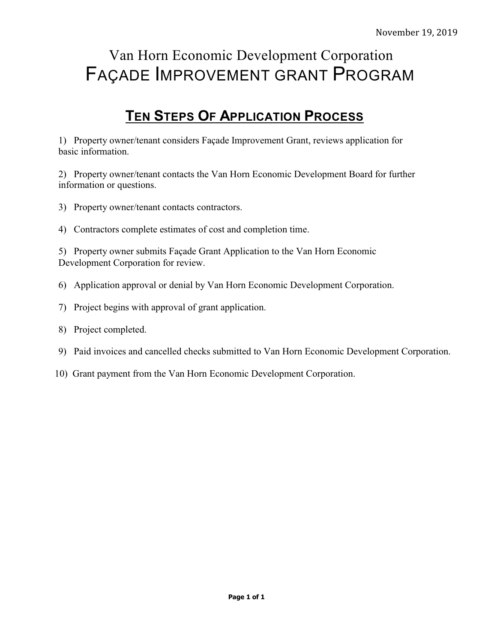# Van Horn Economic Development Corporation FAÇADE IMPROVEMENT GRANT PROGRAM

# **TEN STEPS OF APPLICATION PROCESS**

1) Property owner/tenant considers Façade Improvement Grant, reviews application for basic information.

2) Property owner/tenant contacts the Van Horn Economic Development Board for further information or questions.

- 3) Property owner/tenant contacts contractors.
- 4) Contractors complete estimates of cost and completion time.

5) Property owner submits Façade Grant Application to the Van Horn Economic Development Corporation for review.

- 6) Application approval or denial by Van Horn Economic Development Corporation.
- 7) Project begins with approval of grant application.
- 8) Project completed.
- 9) Paid invoices and cancelled checks submitted to Van Horn Economic Development Corporation.
- 10) Grant payment from the Van Horn Economic Development Corporation.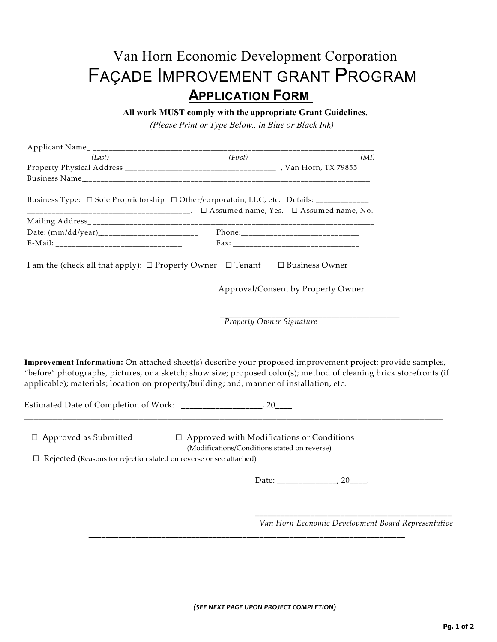# Van Horn Economic Development Corporation FAÇADE IMPROVEMENT GRANT PROGRAM  **APPLICATION FORM**

 **All work MUST comply with the appropriate Grant Guidelines.** 

 *(Please Print or Type Below...in Blue or Black Ink)*

| (Last)                                                                                     | (First)                                                                                          | (MI)                                                                                                                                                                                                                              |
|--------------------------------------------------------------------------------------------|--------------------------------------------------------------------------------------------------|-----------------------------------------------------------------------------------------------------------------------------------------------------------------------------------------------------------------------------------|
|                                                                                            |                                                                                                  |                                                                                                                                                                                                                                   |
|                                                                                            |                                                                                                  |                                                                                                                                                                                                                                   |
| Business Type: □ Sole Proprietorship □ Other/corporatoin, LLC, etc. Details: ___________   |                                                                                                  |                                                                                                                                                                                                                                   |
|                                                                                            |                                                                                                  |                                                                                                                                                                                                                                   |
|                                                                                            |                                                                                                  |                                                                                                                                                                                                                                   |
|                                                                                            |                                                                                                  |                                                                                                                                                                                                                                   |
| I am the (check all that apply): $\Box$ Property Owner $\Box$ Tenant $\Box$ Business Owner |                                                                                                  |                                                                                                                                                                                                                                   |
|                                                                                            |                                                                                                  | Approval/Consent by Property Owner                                                                                                                                                                                                |
|                                                                                            | <b>Property Owner Signature</b>                                                                  |                                                                                                                                                                                                                                   |
|                                                                                            |                                                                                                  |                                                                                                                                                                                                                                   |
| applicable); materials; location on property/building; and, manner of installation, etc.   |                                                                                                  | Improvement Information: On attached sheet(s) describe your proposed improvement project: provide samples,<br>"before" photographs, pictures, or a sketch; show size; proposed color(s); method of cleaning brick storefronts (if |
|                                                                                            |                                                                                                  |                                                                                                                                                                                                                                   |
| $\Box$ Approved as Submitted                                                               | $\Box$ Approved with Modifications or Conditions<br>(Modifications/Conditions stated on reverse) |                                                                                                                                                                                                                                   |
| $\Box~$<br>Rejected (Reasons for rejection stated on reverse or see attached)              |                                                                                                  |                                                                                                                                                                                                                                   |
|                                                                                            |                                                                                                  |                                                                                                                                                                                                                                   |
|                                                                                            |                                                                                                  | Van Horn Economic Development Board Representative                                                                                                                                                                                |

**\_\_\_\_\_\_\_\_\_\_\_\_\_\_\_\_\_\_\_\_\_\_\_\_\_\_\_\_\_\_\_\_\_\_\_\_\_\_\_\_\_\_\_\_\_\_\_\_\_\_\_\_\_\_\_\_\_\_\_\_\_\_\_\_\_\_\_\_\_\_\_\_\_\_**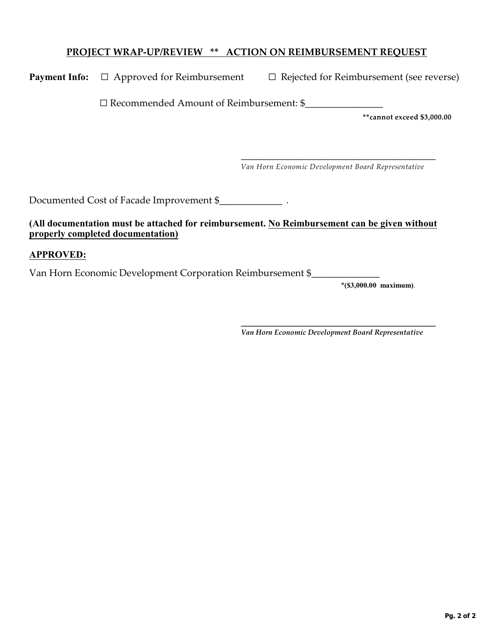# **PROJECT WRAP-UP/REVIEW \*\* ACTION ON REIMBURSEMENT REQUEST**

| <b>Payment Info:</b> $\Box$ Approved for Reimbursement | $\Box$ Rejected for Reimbursement (see reverse) |
|--------------------------------------------------------|-------------------------------------------------|
|                                                        |                                                 |

<sup>G</sup> Recommended Amount of Reimbursement: \$\_\_\_\_\_\_\_\_\_\_\_\_\_\_\_\_

**\*\*cannot exceed \$3,000.00**

 \_\_\_\_\_\_\_\_\_\_\_\_\_\_\_\_\_\_\_\_\_\_\_\_\_\_\_\_\_\_\_\_\_\_\_\_\_\_\_\_ *Van Horn Economic Development Board Representative*

Documented Cost of Facade Improvement \$\_\_\_\_\_\_\_\_\_\_\_\_\_ .

#### **(All documentation must be attached for reimbursement. No Reimbursement can be given without properly completed documentation)**

# **APPROVED:**

Van Horn Economic Development Corporation Reimbursement \$\_\_\_\_\_\_\_\_\_\_\_\_\_\_

**\*(\$3,000.00 maximum)**.

 **\_\_\_\_\_\_\_\_\_\_\_\_\_\_\_\_\_\_\_\_\_\_\_\_\_\_\_\_\_\_\_\_\_\_\_\_\_\_\_\_** *Van Horn Economic Development Board Representative*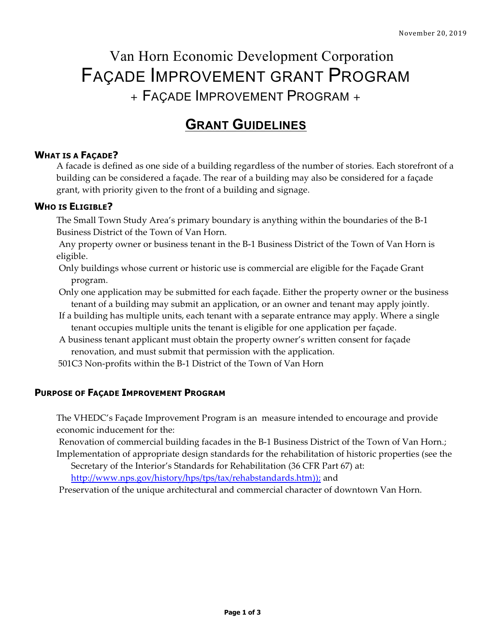# Van Horn Economic Development Corporation FAÇADE IMPROVEMENT GRANT PROGRAM <sup>+</sup> FAÇADE IMPROVEMENT PROGRAM <sup>+</sup>

# **GRANT GUIDELINES**

# **WHAT IS A FAÇADE?**

A facade is defined as one side of a building regardless of the number of stories. Each storefront of a building can be considered a façade. The rear of a building may also be considered for a façade grant, with priority given to the front of a building and signage.

#### **WHO IS ELIGIBLE?**

The Small Town Study Area's primary boundary is anything within the boundaries of the B-1 Business District of the Town of Van Horn.

Any property owner or business tenant in the B-1 Business District of the Town of Van Horn is eligible.

Only buildings whose current or historic use is commercial are eligible for the Façade Grant program.

Only one application may be submitted for each façade. Either the property owner or the business tenant of a building may submit an application, or an owner and tenant may apply jointly.

- If a building has multiple units, each tenant with a separate entrance may apply. Where a single tenant occupies multiple units the tenant is eligible for one application per façade.
- A business tenant applicant must obtain the property owner's written consent for façade renovation, and must submit that permission with the application.

501C3 Non-profits within the B-1 District of the Town of Van Horn

#### **PURPOSE OF FAÇADE IMPROVEMENT PROGRAM**

The VHEDC's Façade Improvement Program is an measure intended to encourage and provide economic inducement for the:

Renovation of commercial building facades in the B-1 Business District of the Town of Van Horn.; Implementation of appropriate design standards for the rehabilitation of historic properties (see the

Secretary of the Interior's Standards for Rehabilitation (36 CFR Part 67) at:

http://www.nps.gov/history/hps/tps/tax/rehabstandards.htm)); and

Preservation of the unique architectural and commercial character of downtown Van Horn.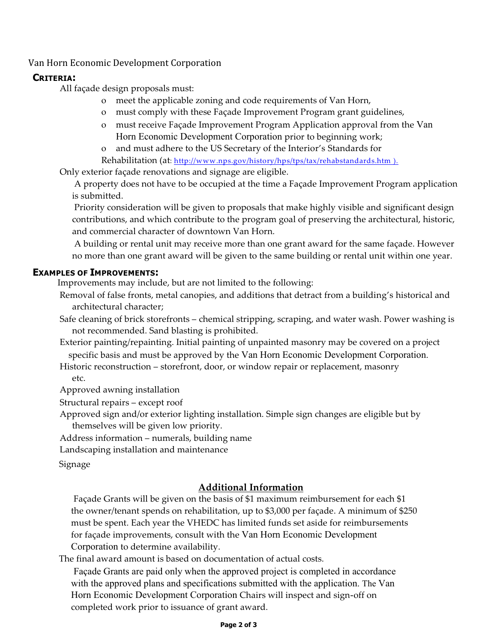# Van Horn Economic Development Corporation

### **CRITERIA:**

All façade design proposals must:

- o meet the applicable zoning and code requirements of Van Horn,
- o must comply with these Façade Improvement Program grant guidelines,
- o must receive Façade Improvement Program Application approval from the Van Horn Economic Development Corporation prior to beginning work;
- o and must adhere to the US Secretary of the Interior's Standards for
- Rehabilitation (at: http://www.nps.gov/history/hps/tps/tax/rehabstandards.htm ).

Only exterior façade renovations and signage are eligible.

A property does not have to be occupied at the time a Façade Improvement Program application is submitted.

Priority consideration will be given to proposals that make highly visible and significant design contributions, and which contribute to the program goal of preserving the architectural, historic, and commercial character of downtown Van Horn.

A building or rental unit may receive more than one grant award for the same façade. However no more than one grant award will be given to the same building or rental unit within one year.

#### **EXAMPLES OF IMPROVEMENTS:**

Improvements may include, but are not limited to the following:

- Removal of false fronts, metal canopies, and additions that detract from a building's historical and architectural character;
- Safe cleaning of brick storefronts chemical stripping, scraping, and water wash. Power washing is not recommended. Sand blasting is prohibited.
- Exterior painting/repainting. Initial painting of unpainted masonry may be covered on a project specific basis and must be approved by the Van Horn Economic Development Corporation.
- Historic reconstruction storefront, door, or window repair or replacement, masonry etc.

Approved awning installation

Structural repairs – except roof

Approved sign and/or exterior lighting installation. Simple sign changes are eligible but by themselves will be given low priority.

Address information – numerals, building name

Landscaping installation and maintenance

Signage

# **Additional Information**

Façade Grants will be given on the basis of \$1 maximum reimbursement for each \$1 the owner/tenant spends on rehabilitation, up to \$3,000 per façade. A minimum of \$250 must be spent. Each year the VHEDC has limited funds set aside for reimbursements for façade improvements, consult with the Van Horn Economic Development Corporation to determine availability.

The final award amount is based on documentation of actual costs.

Façade Grants are paid only when the approved project is completed in accordance with the approved plans and specifications submitted with the application. The Van Horn Economic Development Corporation Chairs will inspect and sign-off on completed work prior to issuance of grant award.